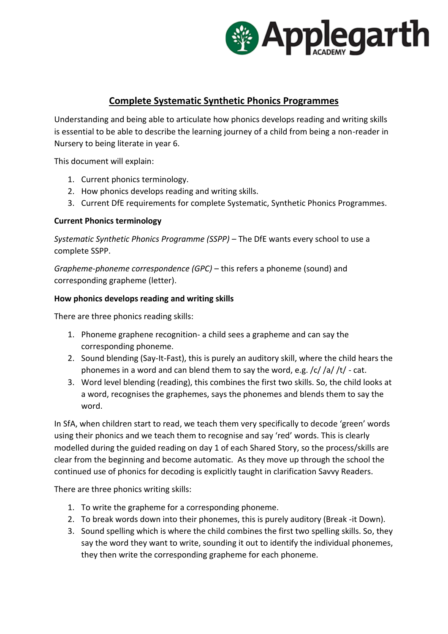

# **Complete Systematic Synthetic Phonics Programmes**

Understanding and being able to articulate how phonics develops reading and writing skills is essential to be able to describe the learning journey of a child from being a non-reader in Nursery to being literate in year 6.

This document will explain:

- 1. Current phonics terminology.
- 2. How phonics develops reading and writing skills.
- 3. Current DfE requirements for complete Systematic, Synthetic Phonics Programmes.

#### **Current Phonics terminology**

*Systematic Synthetic Phonics Programme (SSPP) –* The DfE wants every school to use a complete SSPP.

*Grapheme-phoneme correspondence (GPC)* – this refers a phoneme (sound) and corresponding grapheme (letter).

#### **How phonics develops reading and writing skills**

There are three phonics reading skills:

- 1. Phoneme graphene recognition- a child sees a grapheme and can say the corresponding phoneme.
- 2. Sound blending (Say-It-Fast), this is purely an auditory skill, where the child hears the phonemes in a word and can blend them to say the word, e.g.  $/c$  /a/ $/t$  - cat.
- 3. Word level blending (reading), this combines the first two skills. So, the child looks at a word, recognises the graphemes, says the phonemes and blends them to say the word.

In SfA, when children start to read, we teach them very specifically to decode 'green' words using their phonics and we teach them to recognise and say 'red' words. This is clearly modelled during the guided reading on day 1 of each Shared Story, so the process/skills are clear from the beginning and become automatic. As they move up through the school the continued use of phonics for decoding is explicitly taught in clarification Savvy Readers.

There are three phonics writing skills:

- 1. To write the grapheme for a corresponding phoneme.
- 2. To break words down into their phonemes, this is purely auditory (Break -it Down).
- 3. Sound spelling which is where the child combines the first two spelling skills. So, they say the word they want to write, sounding it out to identify the individual phonemes, they then write the corresponding grapheme for each phoneme.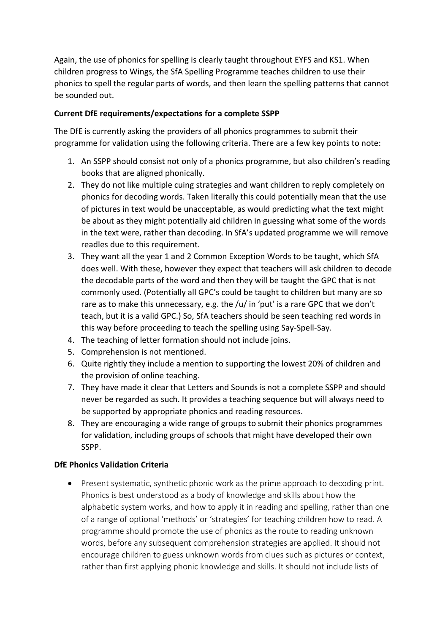Again, the use of phonics for spelling is clearly taught throughout EYFS and KS1. When children progress to Wings, the SfA Spelling Programme teaches children to use their phonics to spell the regular parts of words, and then learn the spelling patterns that cannot be sounded out.

## **Current DfE requirements/expectations for a complete SSPP**

The DfE is currently asking the providers of all phonics programmes to submit their programme for validation using the following criteria. There are a few key points to note:

- 1. An SSPP should consist not only of a phonics programme, but also children's reading books that are aligned phonically.
- 2. They do not like multiple cuing strategies and want children to reply completely on phonics for decoding words. Taken literally this could potentially mean that the use of pictures in text would be unacceptable, as would predicting what the text might be about as they might potentially aid children in guessing what some of the words in the text were, rather than decoding. In SfA's updated programme we will remove readles due to this requirement.
- 3. They want all the year 1 and 2 Common Exception Words to be taught, which SfA does well. With these, however they expect that teachers will ask children to decode the decodable parts of the word and then they will be taught the GPC that is not commonly used. (Potentially all GPC's could be taught to children but many are so rare as to make this unnecessary, e.g. the /u/ in 'put' is a rare GPC that we don't teach, but it is a valid GPC.) So, SfA teachers should be seen teaching red words in this way before proceeding to teach the spelling using Say-Spell-Say.
- 4. The teaching of letter formation should not include joins.
- 5. Comprehension is not mentioned.
- 6. Quite rightly they include a mention to supporting the lowest 20% of children and the provision of online teaching.
- 7. They have made it clear that Letters and Sounds is not a complete SSPP and should never be regarded as such. It provides a teaching sequence but will always need to be supported by appropriate phonics and reading resources.
- 8. They are encouraging a wide range of groups to submit their phonics programmes for validation, including groups of schools that might have developed their own SSPP.

### **DfE Phonics Validation Criteria**

 Present systematic, synthetic phonic work as the prime approach to decoding print. Phonics is best understood as a body of knowledge and skills about how the alphabetic system works, and how to apply it in reading and spelling, rather than one of a range of optional 'methods' or 'strategies' for teaching children how to read. A programme should promote the use of phonics as the route to reading unknown words, before any subsequent comprehension strategies are applied. It should not encourage children to guess unknown words from clues such as pictures or context, rather than first applying phonic knowledge and skills. It should not include lists of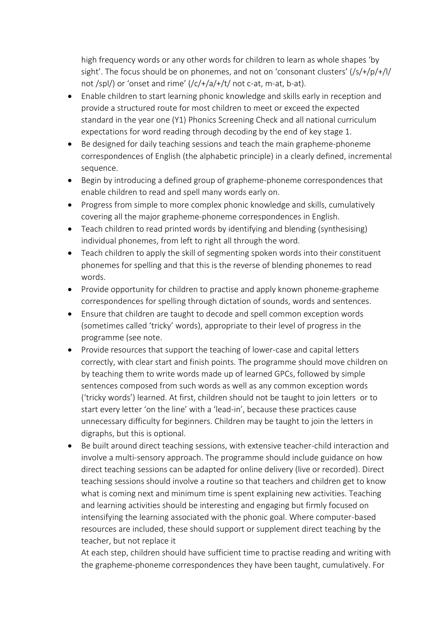high frequency words or any other words for children to learn as whole shapes 'by sight'. The focus should be on phonemes, and not on 'consonant clusters' (/s/+/p/+/l/ not /spl/) or 'onset and rime'  $\frac{1}{c}$  /c/+/a/+/t/ not c-at, m-at, b-at).

- Enable children to start learning phonic knowledge and skills early in reception and provide a structured route for most children to meet or exceed the expected standard in the year one (Y1) Phonics Screening Check and all national curriculum expectations for word reading through decoding by the end of key stage 1.
- Be designed for daily teaching sessions and teach the main grapheme-phoneme correspondences of English (the alphabetic principle) in a clearly defined, incremental sequence.
- Begin by introducing a defined group of grapheme-phoneme correspondences that enable children to read and spell many words early on.
- Progress from simple to more complex phonic knowledge and skills, cumulatively covering all the major grapheme-phoneme correspondences in English.
- Teach children to read printed words by identifying and blending (synthesising) individual phonemes, from left to right all through the word.
- Teach children to apply the skill of segmenting spoken words into their constituent phonemes for spelling and that this is the reverse of blending phonemes to read words.
- Provide opportunity for children to practise and apply known phoneme-grapheme correspondences for spelling through dictation of sounds, words and sentences.
- Ensure that children are taught to decode and spell common exception words (sometimes called 'tricky' words), appropriate to their level of progress in the programme (see note.
- Provide resources that support the teaching of lower-case and capital letters correctly, with clear start and finish points. The programme should move children on by teaching them to write words made up of learned GPCs, followed by simple sentences composed from such words as well as any common exception words ('tricky words') learned. At first, children should not be taught to join letters or to start every letter 'on the line' with a 'lead-in', because these practices cause unnecessary difficulty for beginners. Children may be taught to join the letters in digraphs, but this is optional.
- Be built around direct teaching sessions, with extensive teacher-child interaction and involve a multi-sensory approach. The programme should include guidance on how direct teaching sessions can be adapted for online delivery (live or recorded). Direct teaching sessions should involve a routine so that teachers and children get to know what is coming next and minimum time is spent explaining new activities. Teaching and learning activities should be interesting and engaging but firmly focused on intensifying the learning associated with the phonic goal. Where computer-based resources are included, these should support or supplement direct teaching by the teacher, but not replace it

At each step, children should have sufficient time to practise reading and writing with the grapheme-phoneme correspondences they have been taught, cumulatively. For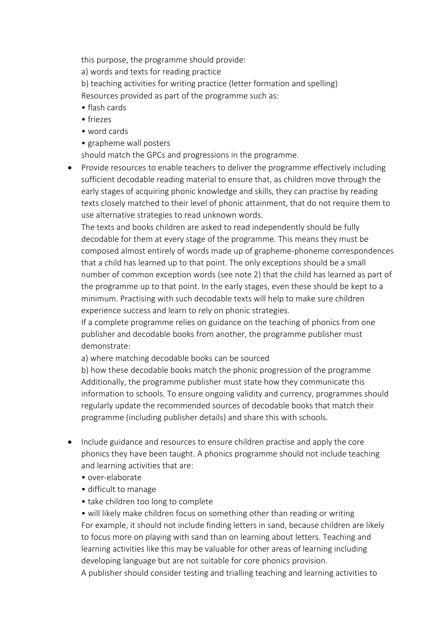this purpose, the programme should provide:

a) words and texts for reading practice

b) teaching activities for writing practice (letter formation and spelling) Resources provided as part of the programme such as:

- flash cards
- friezes
- word cards
- grapheme wall posters

should match the GPCs and progressions in the programme.

• Provide resources to enable teachers to deliver the programme effectively including sufficient decodable reading material to ensure that, as children move through the early stages of acquiring phonic knowledge and skills, they can practise by reading texts closely matched to their level of phonic attainment, that do not require them to use alternative strategies to read unknown words.

The texts and books children are asked to read independently should be fully decodable for them at every stage of the programme. This means they must be composed almost entirely of words made up of grapheme-phoneme correspondences that a child has learned up to that point. The only exceptions should be a small number of common exception words (see note 2) that the child has learned as part of the programme up to that point. In the early stages, even these should be kept to a minimum. Practising with such decodable texts will help to make sure children experience success and learn to rely on phonic strategies.

If a complete programme relies on guidance on the teaching of phonics from one publisher and decodable books from another, the programme publisher must demonstrate:

a) where matching decodable books can be sourced

b) how these decodable books match the phonic progression of the programme Additionally, the programme publisher must state how they communicate this information to schools. To ensure ongoing validity and currency, programmes should regularly update the recommended sources of decodable books that match their programme (including publisher details) and share this with schools.

- Include guidance and resources to ensure children practise and apply the core phonics they have been taught. A phonics programme should not include teaching and learning activities that are:
	- over-elaborate
	- difficult to manage
	- take children too long to complete

• will likely make children focus on something other than reading or writing For example, it should not include finding letters in sand, because children are likely to focus more on playing with sand than on learning about letters. Teaching and learning activities like this may be valuable for other areas of learning including developing language but are not suitable for core phonics provision.

A publisher should consider testing and trialling teaching and learning activities to